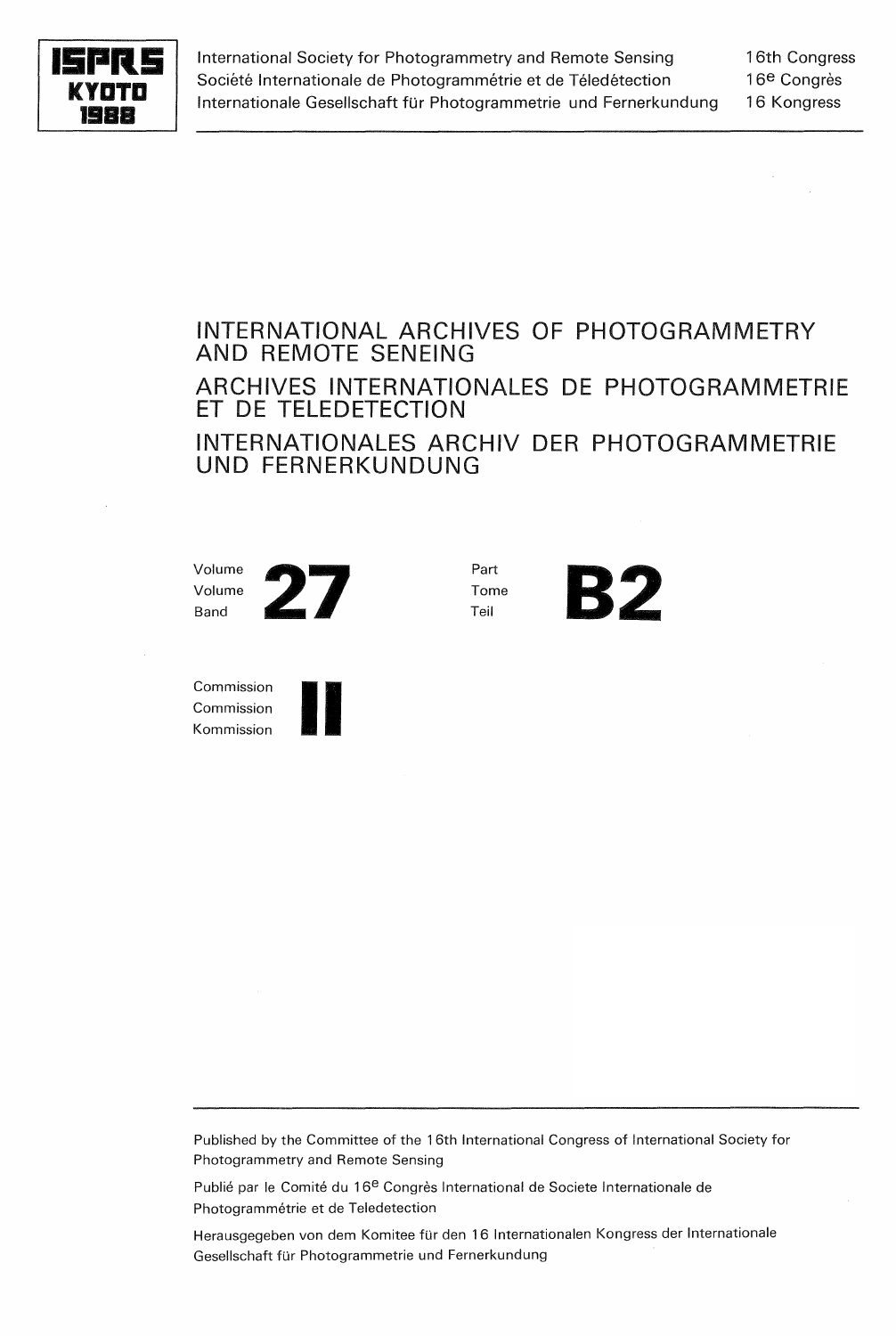

International Society for Photogrammetry and Remote Sensing Société Internationale de Photogrammétrie et de Téledétection Internationale Gesellschaft für Photogrammetrie und Fernerkundung 16th Congress 16<sup>e</sup> Congrès 16 Kongress

## INTERNATIONAL ARCHIVES OF PHOTOGRAMMETRY AND REMOTE SENEING ARCHIVES INTERNATIONALES DE PHOTOGRAMMETRIE ET DE TELEDETECTION INTERNATIONALES ARCHIV DER PHOTOGRAMMETRIE UND FERNERKUNDUNG

Volume Volume



Part Tome



Commission Commission Commission<br>Commission<br>Kommission **III** 



Published by the Committee of the 16th International Congress of International Society for Photogrammetry and Remote Sensing

Publié par le Comité du 16<sup>e</sup> Congrès International de Societe Internationale de Photogrammétrie et de Teledetection

Herausgegeben von dem Komitee für den 16 Internationalen Kongress der Internationale Gesellschaft für Photogrammetrie und Fernerkundung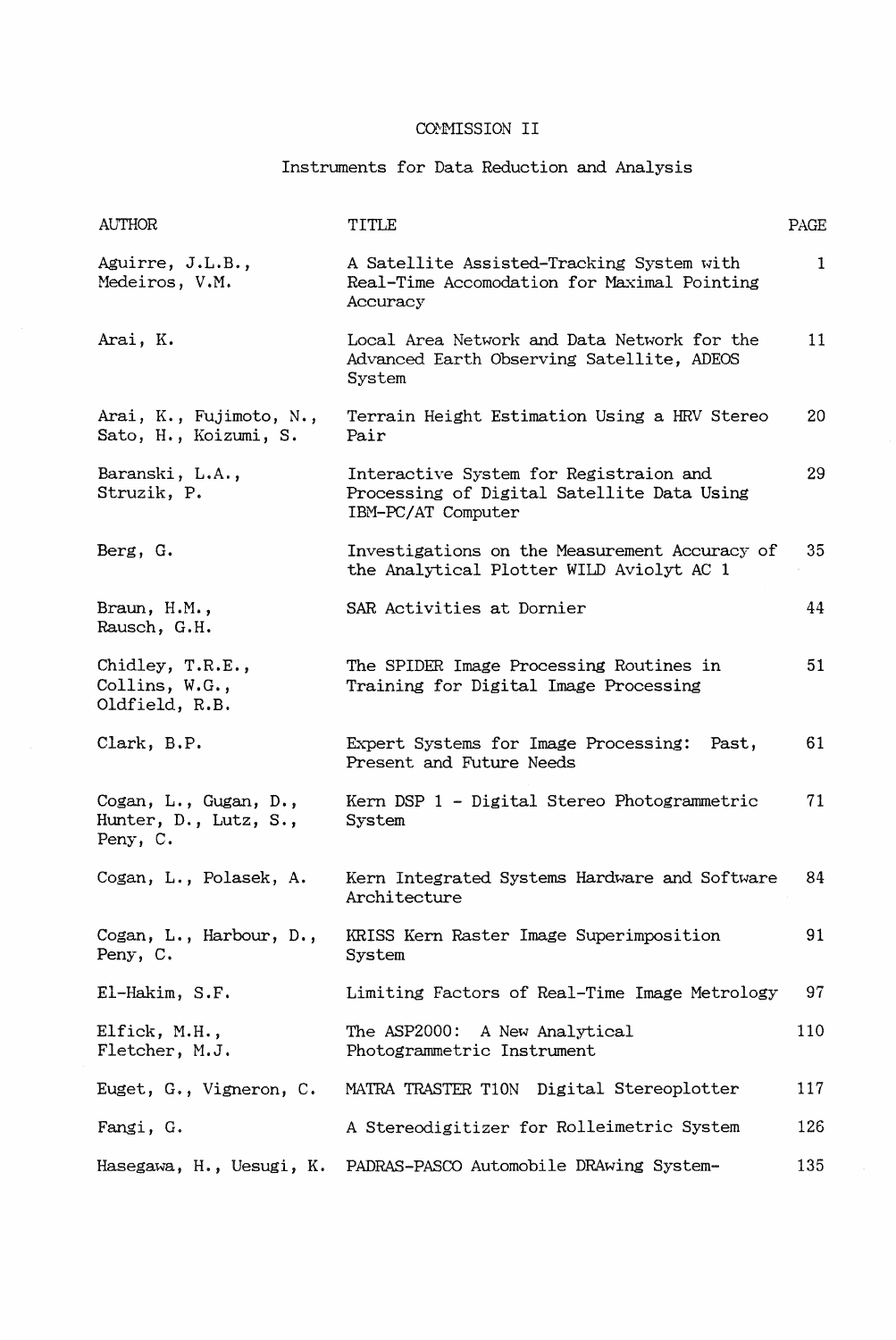## Instruments for Data Reduction and Analysis

| <b>AUTHOR</b>                                              | TITLE                                                                                                      | PAGE |
|------------------------------------------------------------|------------------------------------------------------------------------------------------------------------|------|
| Aguirre, J.L.B.,<br>Medeiros, V.M.                         | A Satellite Assisted-Tracking System with<br>Real-Time Accomodation for Maximal Pointing<br>Accuracy       | 1    |
| Arai, K.                                                   | Local Area Network and Data Network for the<br>Advanced Earth Observing Satellite, ADEOS<br>System         | 11   |
| Arai, K., Fujimoto, N.,<br>Sato, H., Koizumi, S.           | Terrain Height Estimation Using a HRV Stereo<br>Pair                                                       | 20   |
| Baranski, L.A.,<br>Struzik, P.                             | Interactive System for Registraion and<br>Processing of Digital Satellite Data Using<br>IBM-PC/AT Computer | 29   |
| Berg, G.                                                   | Investigations on the Measurement Accuracy of<br>the Analytical Plotter WILD Aviolyt AC 1                  | 35   |
| Braun, H.M.,<br>Rausch, G.H.                               | SAR Activities at Dornier                                                                                  | 44   |
| Chidley, T.R.E.,<br>Collins, W.G.,<br>Oldfield, R.B.       | The SPIDER Image Processing Routines in<br>Training for Digital Image Processing                           | 51   |
| Clark, B.P.                                                | Expert Systems for Image Processing: Past,<br>Present and Future Needs                                     | 61   |
| Cogan, L., Gugan, D.,<br>Hunter, D., Lutz, S.,<br>Peny, C. | Kern DSP 1 - Digital Stereo Photogrammetric<br>System                                                      | 71   |
| Cogan, L., Polasek, A.                                     | Kern Integrated Systems Hardware and Software<br>Architecture                                              | 84   |
| Cogan, L., Harbour, D.,<br>Peny, C.                        | KRISS Kern Raster Image Superimposition<br>System                                                          | 91   |
| El-Hakim, S.F.                                             | Limiting Factors of Real-Time Image Metrology                                                              | 97   |
| Elfick, M.H.,<br>Fletcher, M.J.                            | The ASP2000: A New Analytical<br>Photogrammetric Instrument                                                | 110  |
| Euget, G., Vigneron, C.                                    | MATRA TRASTER T10N Digital Stereoplotter                                                                   | 117  |
| Fangi, G.                                                  | A Stereodigitizer for Rolleimetric System                                                                  | 126  |
| Hasegawa, H., Uesugi, K.                                   | PADRAS-PASCO Automobile DRAwing System-                                                                    | 135  |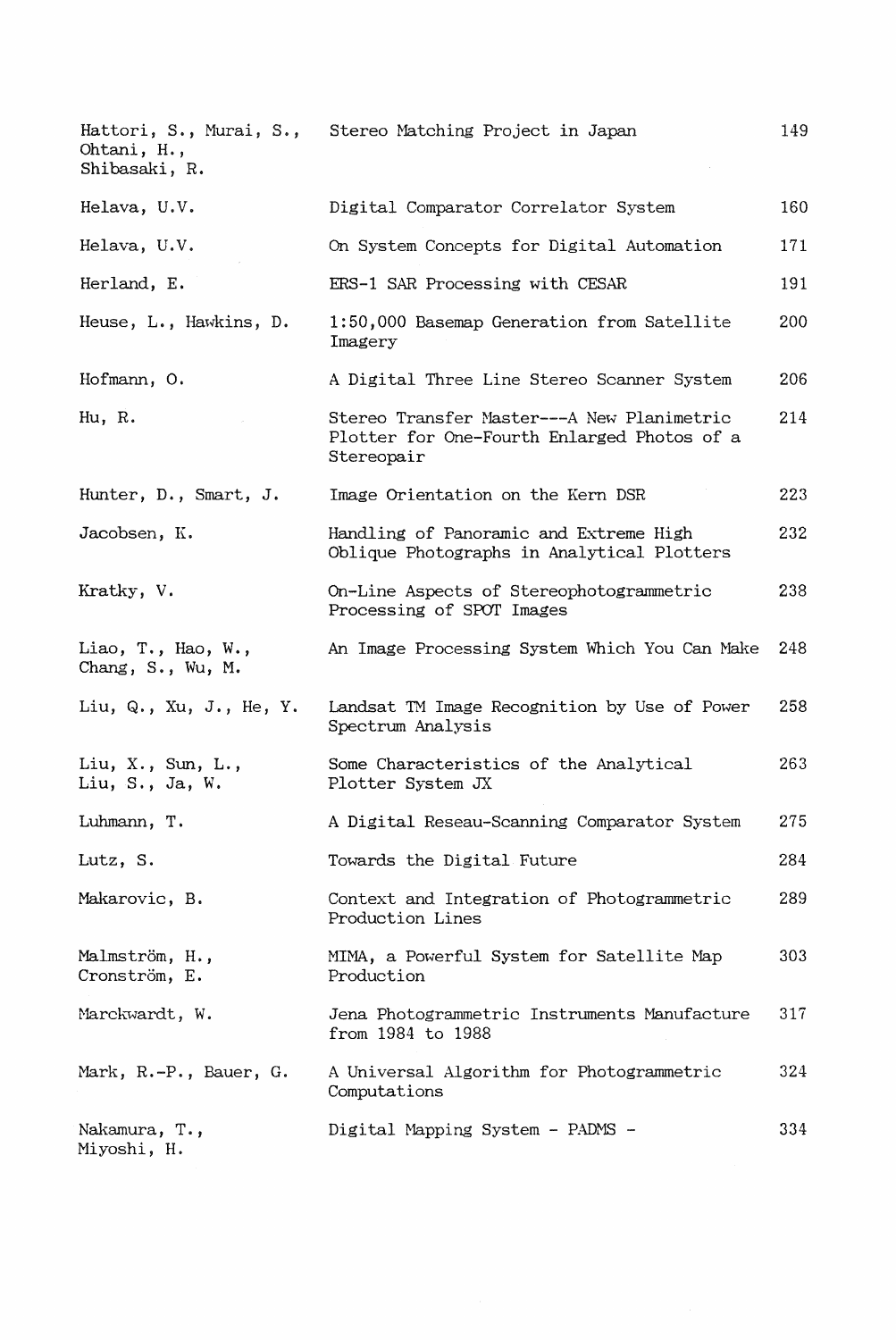| Hattori, S., Murai, S.,<br>Ohtani, H.,<br>Shibasaki, R. | Stereo Matching Project in Japan                                                                        | 149 |
|---------------------------------------------------------|---------------------------------------------------------------------------------------------------------|-----|
| Helava, U.V.                                            | Digital Comparator Correlator System                                                                    | 160 |
| Helava, U.V.                                            | On System Concepts for Digital Automation                                                               | 171 |
| Herland, E.                                             | ERS-1 SAR Processing with CESAR                                                                         | 191 |
| Heuse, L., Hawkins, D.                                  | 1:50,000 Basemap Generation from Satellite<br>Imagery                                                   | 200 |
| Hofmann, O.                                             | A Digital Three Line Stereo Scanner System                                                              | 206 |
| Hu, R.                                                  | Stereo Transfer Master---A New Planimetric<br>Plotter for One-Fourth Enlarged Photos of a<br>Stereopair | 214 |
| Hunter, D., Smart, J.                                   | Image Orientation on the Kern DSR                                                                       | 223 |
| Jacobsen, K.                                            | Handling of Panoramic and Extreme High<br>Oblique Photographs in Analytical Plotters                    | 232 |
| Kratky, V.                                              | On-Line Aspects of Stereophotogrammetric<br>Processing of SPOT Images                                   | 238 |
| Liao, T., Hao, W.,<br>Chang, S., Wu, M.                 | An Image Processing System Which You Can Make                                                           | 248 |
| Liu, Q., Xu, J., He, Y.                                 | Landsat TM Image Recognition by Use of Power<br>Spectrum Analysis                                       | 258 |
| Liu, $X.$ , Sun, L.,<br>Liu, S., Ja, W.                 | Some Characteristics of the Analytical<br>Plotter System JX                                             | 263 |
| Luhmann, T.                                             | A Digital Reseau-Scanning Comparator System                                                             | 275 |
| Lutz, S.                                                | Towards the Digital Future                                                                              | 284 |
| Makarovic, B.                                           | Context and Integration of Photogrammetric<br>Production Lines                                          | 289 |
| Malmström, H.,<br>Cronström, E.                         | MIMA, a Powerful System for Satellite Map<br>Production                                                 | 303 |
| Marckwardt, W.                                          | Jena Photogrammetric Instruments Manufacture<br>from 1984 to 1988                                       | 317 |
| Mark, R.-P., Bauer, G.                                  | A Universal Algorithm for Photogrammetric<br>Computations                                               | 324 |
| Nakamura, T.,<br>Miyoshi, H.                            | Digital Mapping System - PADMS -                                                                        | 334 |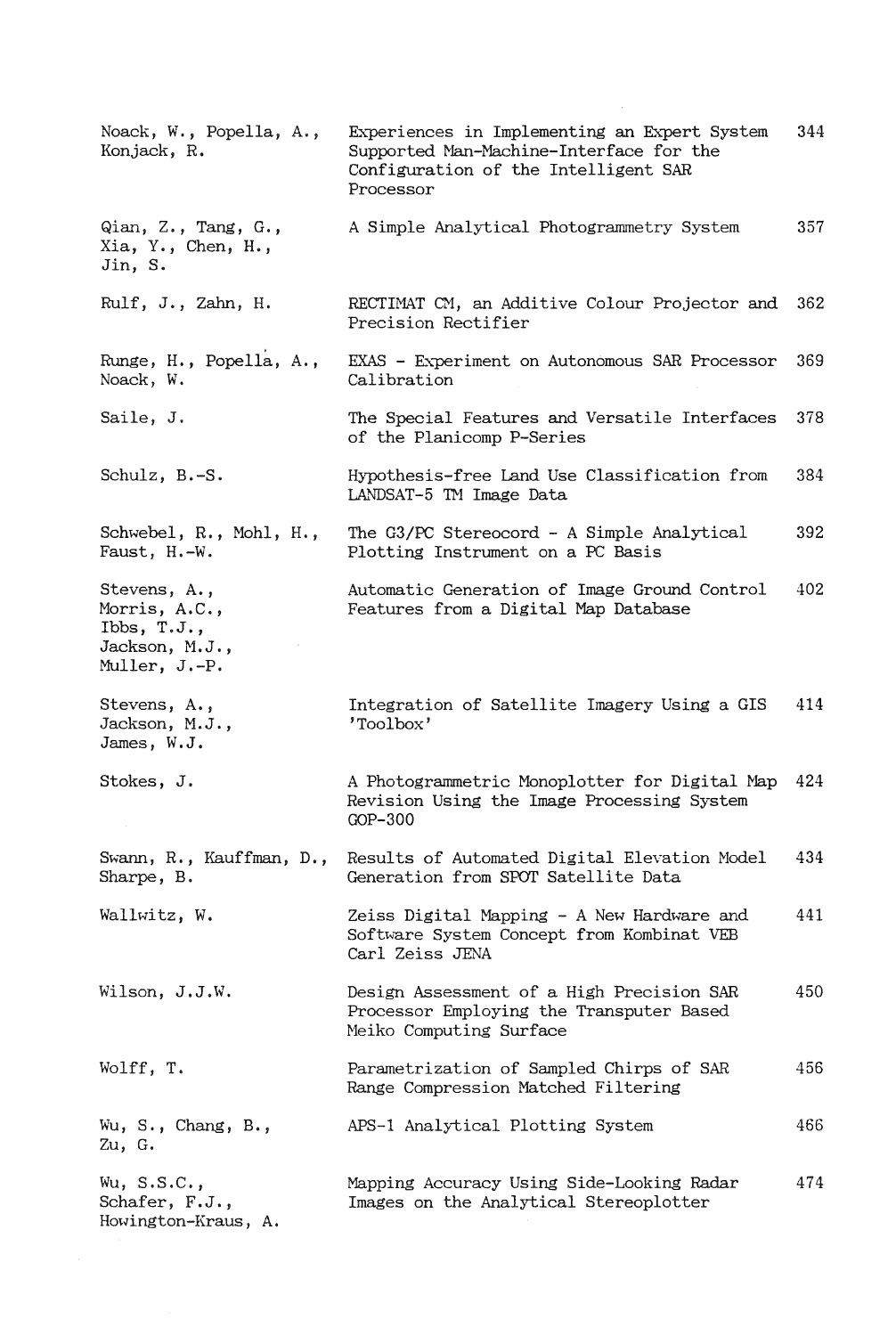| Noack, W., Popella, A.,<br>Konjack, R.                                             | Experiences in Implementing an Expert System<br>Supported Man-Machine-Interface for the<br>Configuration of the Intelligent SAR<br>Processor | 344 |
|------------------------------------------------------------------------------------|----------------------------------------------------------------------------------------------------------------------------------------------|-----|
| Qian, Z., Tang, G.,<br>Xia, Y., Chen, H.,<br>Jin, S.                               | A Simple Analytical Photogrammetry System                                                                                                    | 357 |
| Rulf, J., Zahn, H.                                                                 | RECTIMAT CM, an Additive Colour Projector and<br>Precision Rectifier                                                                         | 362 |
| Runge, H., Popella, A.,<br>Noack, W.                                               | EXAS - Experiment on Autonomous SAR Processor<br>Calibration                                                                                 | 369 |
| Saile, J.                                                                          | The Special Features and Versatile Interfaces<br>of the Planicomp P-Series                                                                   | 378 |
| Schulz, B.-S.                                                                      | Hypothesis-free Land Use Classification from<br>LANDSAT-5 TM Image Data                                                                      | 384 |
| Schwebel, R., Mohl, H.,<br>Faust, H.-W.                                            | The G3/PC Stereocord - A Simple Analytical<br>Plotting Instrument on a PC Basis                                                              | 392 |
| Stevens, A.,<br>Morris, A.C.,<br>Ibbs, $T.J.$ ,<br>Jackson, M.J.,<br>Muller, J.-P. | Automatic Generation of Image Ground Control<br>Features from a Digital Map Database                                                         | 402 |
| Stevens, A.,<br>Jackson, M.J.,<br>James, W.J.                                      | Integration of Satellite Imagery Using a GIS<br>'Toolbox'                                                                                    | 414 |
| Stokes, J.                                                                         | A Photogrammetric Monoplotter for Digital Map<br>Revision Using the Image Processing System<br>$GOP-300$                                     | 424 |
| Swann, R., Kauffman, D.,<br>Sharpe, B.                                             | Results of Automated Digital Elevation Model<br>Generation from SPOT Satellite Data                                                          | 434 |
| Wallwitz, W.                                                                       | Zeiss Digital Mapping - A New Hardware and<br>Software System Concept from Kombinat VEB<br>Carl Zeiss JENA                                   | 441 |
| Wilson, J.J.W.                                                                     | Design Assessment of a High Precision SAR<br>Processor Employing the Transputer Based<br>Meiko Computing Surface                             | 450 |
| Wolff, T.                                                                          | Parametrization of Sampled Chirps of SAR<br>Range Compression Matched Filtering                                                              | 456 |
| Wu, $S_{\cdot}$ , Chang, $B_{\cdot}$ ,<br>Zu, G.                                   | APS-1 Analytical Plotting System                                                                                                             | 466 |
| $Wu$ , $S.S.C.$ ,<br>Schafer, F.J.,<br>Howington-Kraus, A.                         | Mapping Accuracy Using Side-Looking Radar<br>Images on the Analytical Stereoplotter                                                          | 474 |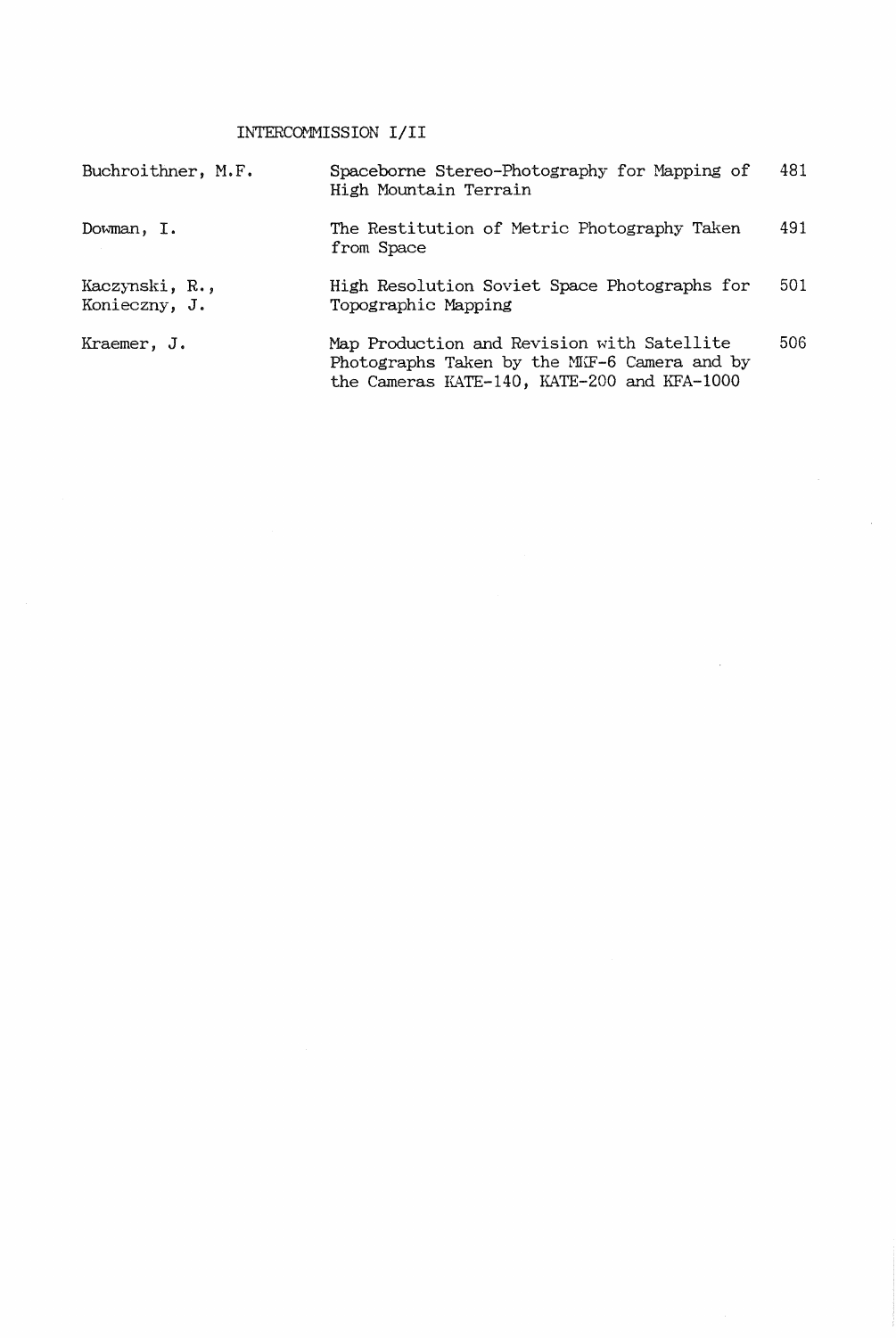## INTERCOMMISSION I/II

| Buchroithner, M.F.              | Spaceborne Stereo-Photography for Mapping of<br>High Mountain Terrain                                                                     | 481 |
|---------------------------------|-------------------------------------------------------------------------------------------------------------------------------------------|-----|
| Dowman, I.                      | The Restitution of Metric Photography Taken<br>from Space                                                                                 | 491 |
| Kaczynski, R.,<br>Konieczny, J. | High Resolution Soviet Space Photographs for<br>Topographic Mapping                                                                       | 501 |
| Kraemer, J.                     | Map Production and Revision with Satellite<br>Photographs Taken by the MIF-6 Camera and by<br>the Cameras KATE-140, KATE-200 and KFA-1000 | 506 |

 $\hat{\mathcal{A}}$ 

 $\sim 10$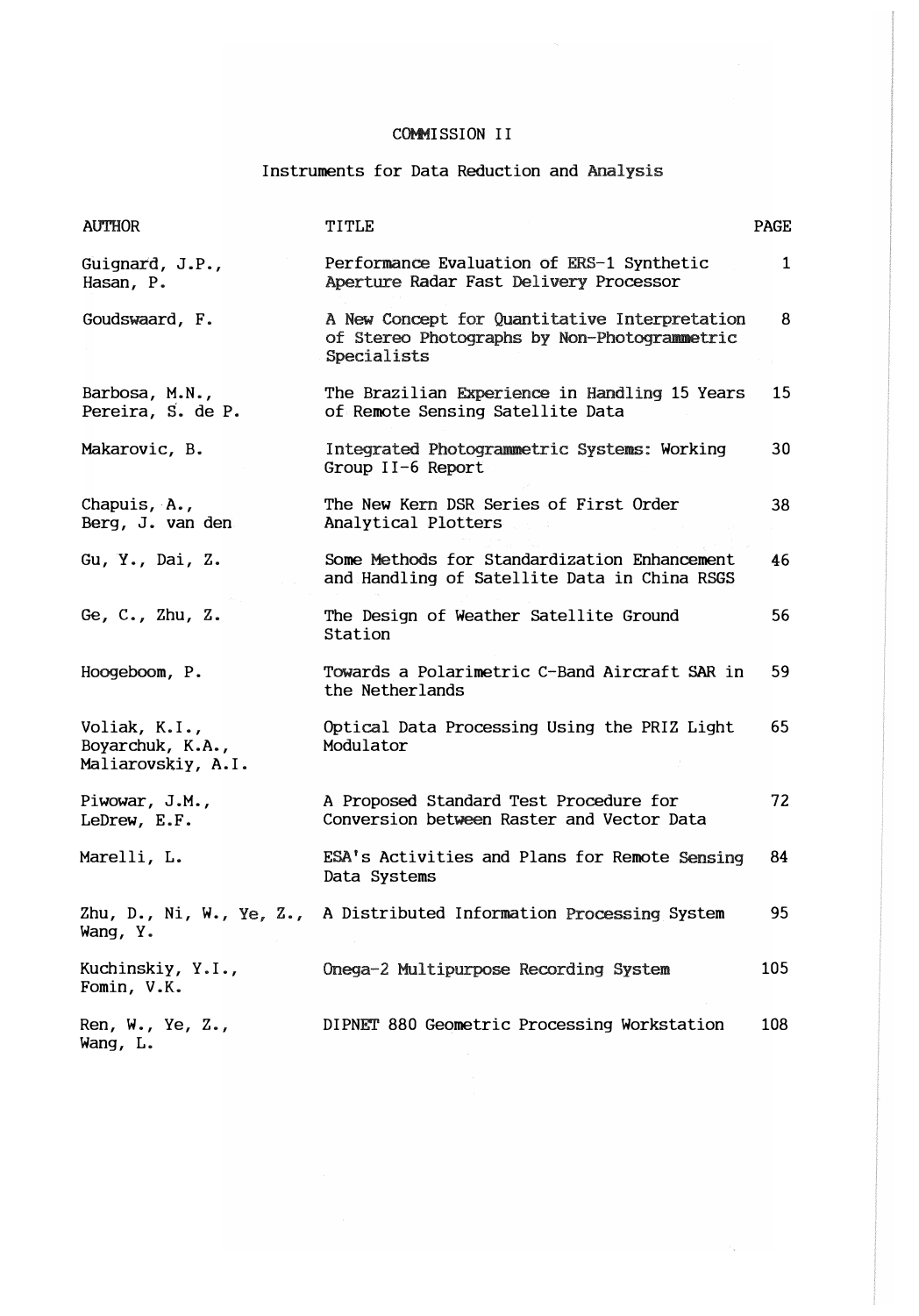Instruments for Data Reduction and

| <b>AUTHOR</b>                                           | TITLE                                                                                                        | <b>PAGE</b>  |
|---------------------------------------------------------|--------------------------------------------------------------------------------------------------------------|--------------|
| Guignard, J.P.,<br>Hasan, P.                            | Performance Evaluation of ERS-1 Synthetic<br>Aperture Radar Fast Delivery Processor                          | $\mathbf{1}$ |
| Goudswaard, F.                                          | A New Concept for Quantitative Interpretation<br>of Stereo Photographs by Non-Photogrammetric<br>Specialists | 8            |
| Barbosa, M.N.,<br>Pereira, S. de P.                     | The Brazilian Experience in Handling 15 Years<br>of Remote Sensing Satellite Data                            | 15           |
| Makarovic, B.                                           | Integrated Photogrammetric Systems: Working<br>Group II-6 Report                                             | 30           |
| Chapuis, $A_{\bullet}$ ,<br>Berg, J. van den            | The New Kern DSR Series of First Order<br>Analytical Plotters                                                | 38           |
| Gu, Y., Dai, Z.                                         | Some Methods for Standardization Enhancement<br>and Handling of Satellite Data in China RSGS                 | 46           |
| Ge, C., Zhu, Z.                                         | The Design of Weather Satellite Ground<br>Station                                                            | 56           |
| Hoogeboom, P.                                           | Towards a Polarimetric C-Band Aircraft SAR in<br>the Netherlands                                             | 59           |
| Voliak, K.I.,<br>Boyarchuk, K.A.,<br>Maliarovskiy, A.I. | Optical Data Processing Using the PRIZ Light<br>Modulator                                                    | 65           |
| Piwowar, J.M.,<br>LeDrew, E.F.                          | A Proposed Standard Test Procedure for<br>Conversion between Raster and Vector Data                          | 72           |
| Marelli, L.                                             | ESA's Activities and Plans for Remote Sensing<br>Data Systems                                                | 84           |
| Wang, Y.                                                | Zhu, D., Ni, W., Ye, Z., A Distributed Information Processing System                                         | 95           |
| Kuchinskiy, Y.I.,<br>Fomin, V.K.                        | Onega-2 Multipurpose Recording System                                                                        | 105          |
| Ren, W., Ye, Z.,<br>Wang, L.                            | DIPNET 880 Geometric Processing Workstation                                                                  | 108          |

 $\mathcal{O}_{\mathcal{A}}$  .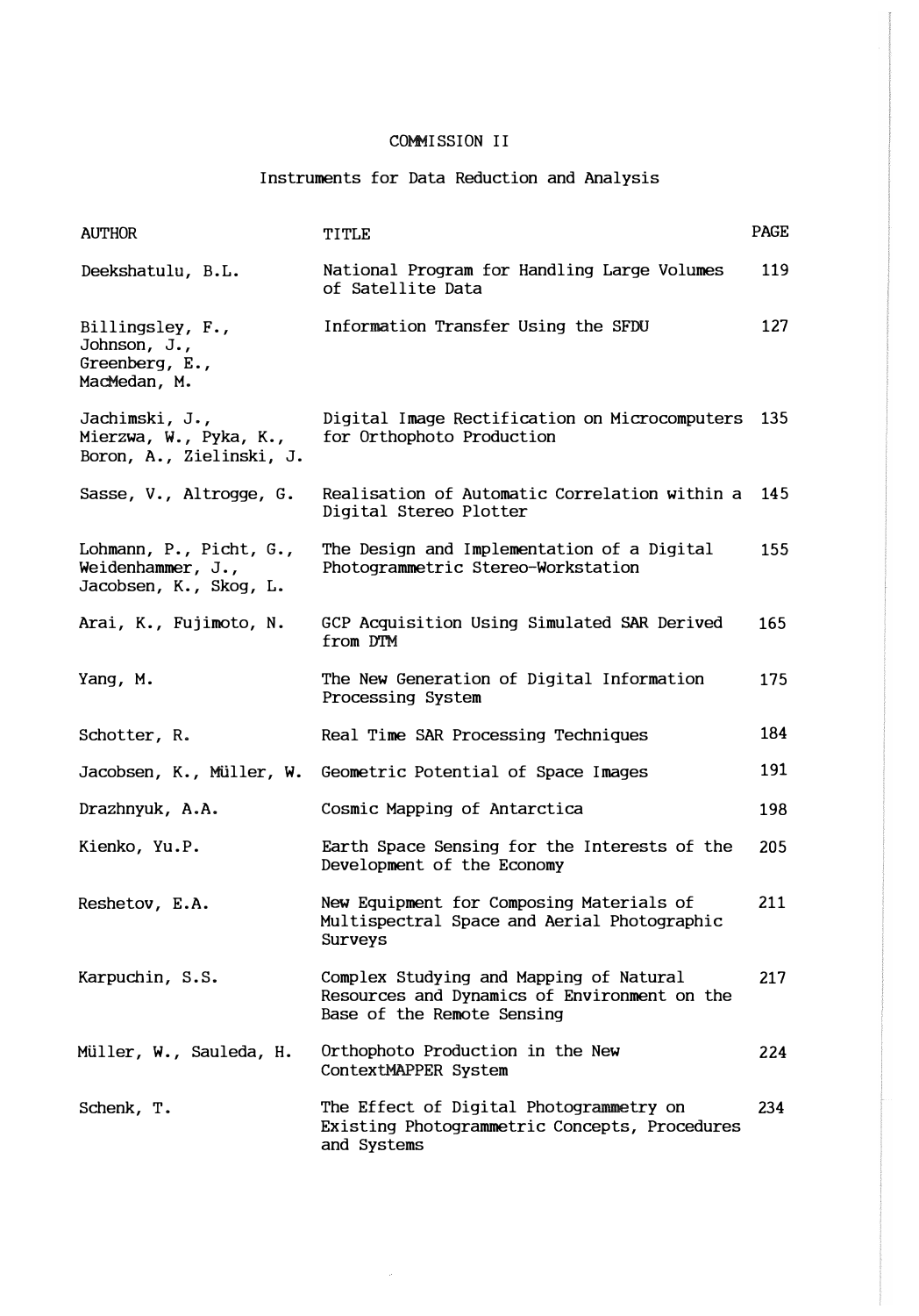Instruments for Data Reduction and Analysis

| <b>AUTHOR</b>                                                          | TITLE                                                                                                                 | <b>PAGE</b> |
|------------------------------------------------------------------------|-----------------------------------------------------------------------------------------------------------------------|-------------|
| Deekshatulu, B.L.                                                      | National Program for Handling Large Volumes<br>of Satellite Data                                                      | 119         |
| Billingsley, F.,<br>Johnson, J.,<br>Greenberg, E.,<br>MacMedan, M.     | Information Transfer Using the SFDU                                                                                   | 127         |
| Jachimski, J.,<br>Mierzwa, W., Pyka, K.,<br>Boron, A., Zielinski, J.   | Digital Image Rectification on Microcomputers<br>for Orthophoto Production                                            | 135         |
| Sasse, V., Altrogge, G.                                                | Realisation of Automatic Correlation within a<br>Digital Stereo Plotter                                               | 145         |
| Lohmann, P., Picht, G.,<br>Weidenhammer, J.,<br>Jacobsen, K., Skog, L. | The Design and Implementation of a Digital<br>Photogrammetric Stereo-Workstation                                      | 155         |
| Arai, K., Fujimoto, N.                                                 | GCP Acquisition Using Simulated SAR Derived<br>from DTM                                                               | 165         |
| Yang, M.                                                               | The New Generation of Digital Information<br>Processing System                                                        | 175         |
| Schotter, R.                                                           | Real Time SAR Processing Techniques                                                                                   | 184         |
| Jacobsen, K., Müller, W.                                               | Geometric Potential of Space Images                                                                                   | 191         |
| Drazhnyuk, A.A.                                                        | Cosmic Mapping of Antarctica                                                                                          | 198         |
| Kienko, Yu.P.                                                          | Earth Space Sensing for the Interests of the<br>Development of the Economy                                            | 205         |
| Reshetov, E.A.                                                         | New Equipment for Composing Materials of<br>Multispectral Space and Aerial Photographic<br>Surveys                    | 211         |
| Karpuchin, S.S.                                                        | Complex Studying and Mapping of Natural<br>Resources and Dynamics of Environment on the<br>Base of the Remote Sensing | 217         |
| Müller, W., Sauleda, H.                                                | Orthophoto Production in the New<br>ContextMAPPER System                                                              | 224         |
| Schenk, T.                                                             | The Effect of Digital Photogrammetry on<br>Existing Photogrammetric Concepts, Procedures<br>and Systems               | 234         |

 $\mathcal{A}^{\mathcal{A}}$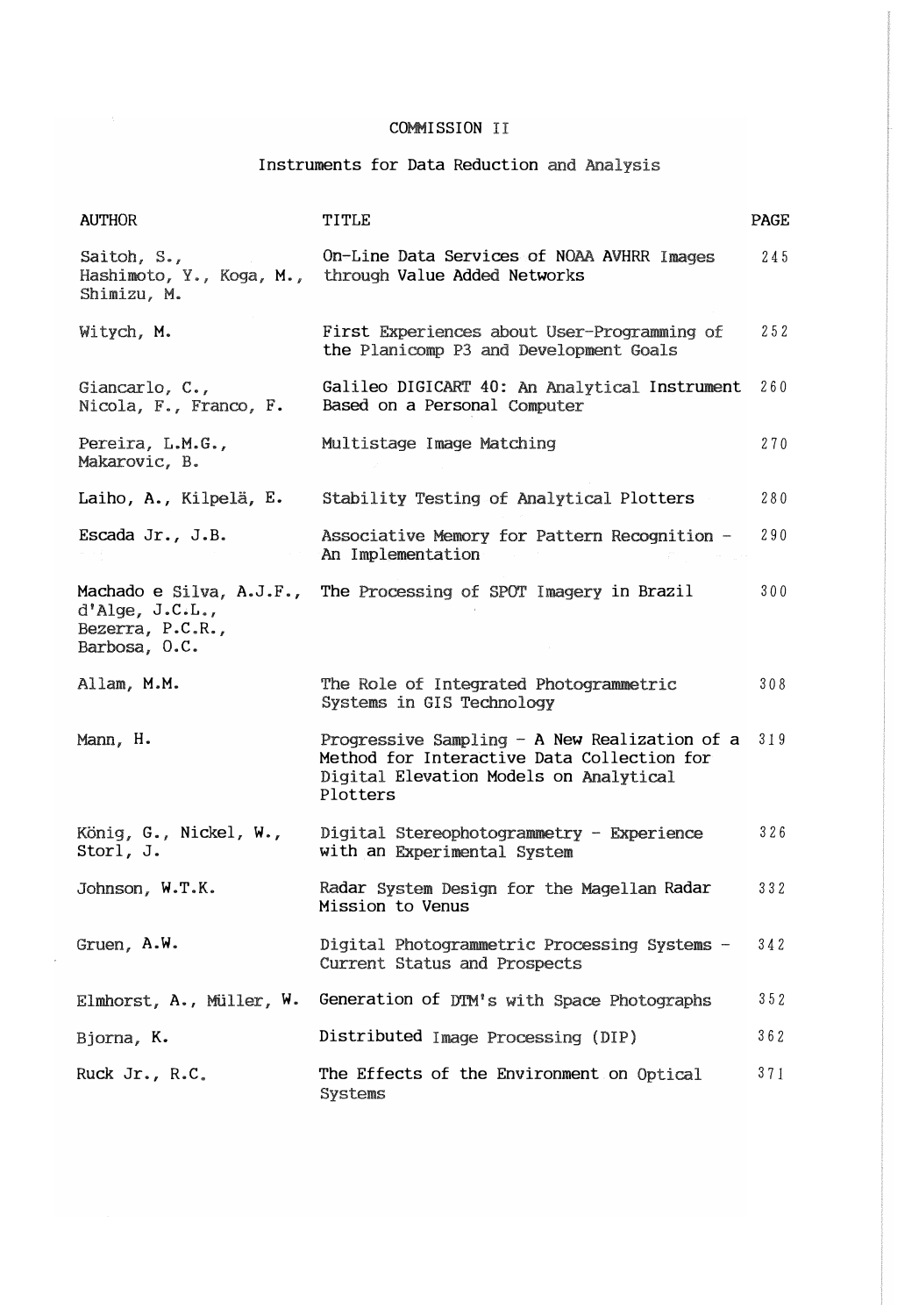# Instruments for Data Reduction and Analysis

| <b>AUTHOR</b>                                                                    | TITLE                                                                                                                                               | PAGE |
|----------------------------------------------------------------------------------|-----------------------------------------------------------------------------------------------------------------------------------------------------|------|
| Saitoh, $S_{\ast}$ ,<br>Hashimoto, Y., Koga, M.,<br>Shimizu, M.                  | On-Line Data Services of NOAA AVHRR Images<br>through Value Added Networks                                                                          | 245  |
| Witych, M.                                                                       | First Experiences about User-Programming of<br>the Planicomp P3 and Development Goals                                                               | 252  |
| Giancarlo, $C_{\bullet}$ ,<br>Nicola, F., Franco, F.                             | Galileo DIGICART 40: An Analytical Instrument<br>Based on a Personal Computer                                                                       | 260  |
| Pereira, L.M.G.,<br>Makarovic, B.                                                | Multistage Image Matching                                                                                                                           | 270  |
| Laiho, A., Kilpelä, E.                                                           | Stability Testing of Analytical Plotters                                                                                                            | 280  |
| Escada Jr., J.B.                                                                 | Associative Memory for Pattern Recognition -<br>An Implementation                                                                                   | 290  |
| Machado e Silva, A.J.F.,<br>d'Alge, J.C.L.,<br>Bezerra, P.C.R.,<br>Barbosa, O.C. | The Processing of SPOT Imagery in Brazil                                                                                                            | 300  |
| Allam, M.M.                                                                      | The Role of Integrated Photogrammetric<br>Systems in GIS Technology                                                                                 | 308  |
| Mann, H.                                                                         | Progressive Sampling $-$ A New Realization of a<br>Method for Interactive Data Collection for<br>Digital Elevation Models on Analytical<br>Plotters | 319  |
| König, G., Nickel, W.,<br>Storl, J.                                              | Digital Stereophotogrammetry - Experience<br>with an Experimental System                                                                            | 326  |
| Johnson, W.T.K.                                                                  | Radar System Design for the Magellan Radar<br>Mission to Venus                                                                                      | 332  |
| Gruen, A.W.                                                                      | Digital Photogrammetric Processing Systems -<br>Current Status and Prospects                                                                        | 342  |
|                                                                                  | Elmhorst, A., Müller, W. Generation of DTM's with Space Photographs                                                                                 | 352  |
| Bjorna, K.                                                                       | Distributed Image Processing (DIP)                                                                                                                  | 362  |
| Ruck Jr., R.C.                                                                   | The Effects of the Environment on Optical<br>Systems                                                                                                | 371  |

 $\bar{\beta}$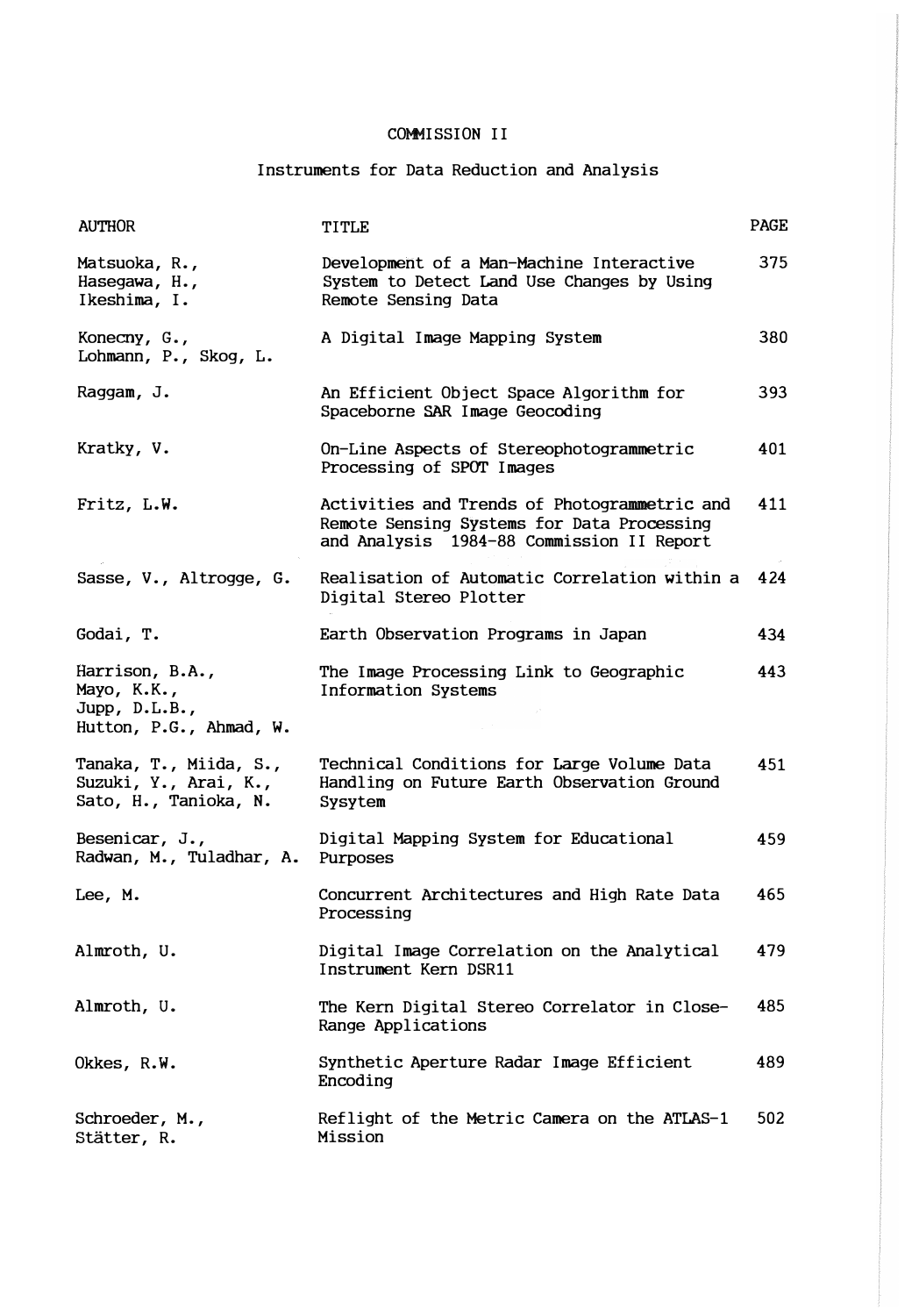## Instruments for Data Reduction and Analysis

| <b>AUTHOR</b>                                                              | TITLE                                                                                                                                   | <b>PAGE</b> |
|----------------------------------------------------------------------------|-----------------------------------------------------------------------------------------------------------------------------------------|-------------|
| Matsuoka, R.,<br>Hasegawa, H.,<br>Ikeshima, I.                             | Development of a Man-Machine Interactive<br>System to Detect Land Use Changes by Using<br>Remote Sensing Data                           | 375         |
| Konecny, G.,<br>Lohmann, P., Skog, L.                                      | A Digital Image Mapping System                                                                                                          | 380         |
| Raggam, J.                                                                 | An Efficient Object Space Algorithm for<br>Spaceborne SAR Image Geocoding                                                               | 393         |
| Kratky, V.                                                                 | On-Line Aspects of Stereophotogrammetric<br>Processing of SPOT Images                                                                   | 401         |
| Fritz, L.W.                                                                | Activities and Trends of Photogrammetric and<br>Remote Sensing Systems for Data Processing<br>and Analysis 1984-88 Commission II Report | 411         |
| Sasse, V., Altrogge, G.                                                    | Realisation of Automatic Correlation within a<br>Digital Stereo Plotter                                                                 | 424         |
| Godai, T.                                                                  | Earth Observation Programs in Japan                                                                                                     | 434         |
| Harrison, B.A.,<br>Mayo, K.K.,<br>Jupp, D.L.B.,<br>Hutton, P.G., Ahmad, W. | The Image Processing Link to Geographic<br>Information Systems                                                                          | 443         |
| Tanaka, T., Miida, S.,<br>Suzuki, Y., Arai, K.,<br>Sato, H., Tanioka, N.   | Technical Conditions for Large Volume Data<br>Handling on Future Earth Observation Ground<br>Sysytem                                    | 451         |
| Besenicar, J.,<br>Radwan, M., Tuladhar, A.                                 | Digital Mapping System for Educational<br>Purposes                                                                                      | 459         |
| Lee, M.                                                                    | Concurrent Architectures and High Rate Data<br>Processing                                                                               | 465         |
| Almroth, U.                                                                | Digital Image Correlation on the Analytical<br>Instrument Kern DSR11                                                                    | 479         |
| Almroth, U.                                                                | The Kern Digital Stereo Correlator in Close-<br>Range Applications                                                                      | 485         |
| Okkes, R.W.                                                                | Synthetic Aperture Radar Image Efficient<br>Encoding                                                                                    | 489         |
| Schroeder, M.,<br>Stätter, R.                                              | Reflight of the Metric Camera on the ATLAS-1<br>Mission                                                                                 | 502         |